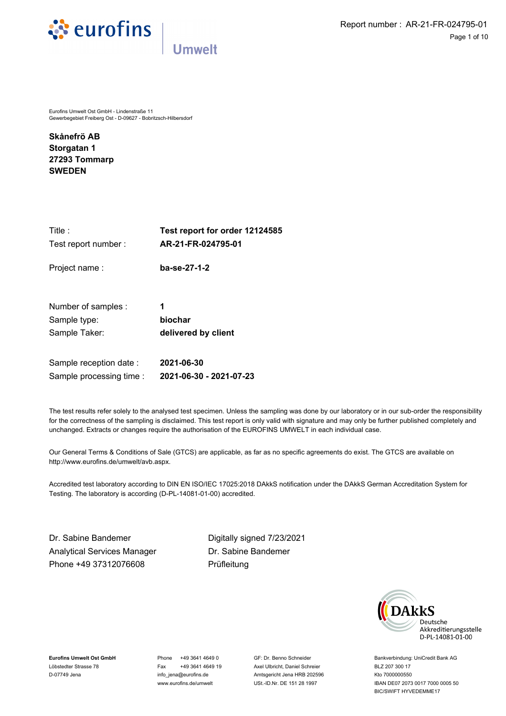



Eurofins Umwelt Ost GmbH - Lindenstraße 11 Gewerbegebiet Freiberg Ost - D-09627 - Bobritzsch-Hilbersdorf

**Skånefrö AB Storgatan 1 27293 Tommarp SWEDEN**

| Title :                  | Test report for order 12124585 |
|--------------------------|--------------------------------|
| Test report number:      | AR-21-FR-024795-01             |
| Project name:            | ba-se-27-1-2                   |
| Number of samples :      | 1                              |
| Sample type:             | biochar                        |
| Sample Taker:            | delivered by client            |
| Sample reception date:   | 2021-06-30                     |
| Sample processing time : | 2021-06-30 - 2021-07-23        |

The test results refer solely to the analysed test specimen. Unless the sampling was done by our laboratory or in our sub-order the responsibility for the correctness of the sampling is disclaimed. This test report is only valid with signature and may only be further published completely and unchanged. Extracts or changes require the authorisation of the EUROFINS UMWELT in each individual case.

Our General Terms & Conditions of Sale (GTCS) are applicable, as far as no specific agreements do exist. The GTCS are available on http://www.eurofins.de/umwelt/avb.aspx.

Accredited test laboratory according to DIN EN ISO/IEC 17025:2018 DAkkS notification under the DAkkS German Accreditation System for Testing. The laboratory is according (D-PL-14081-01-00) accredited.

Dr. Sabine Bandemer Digitally signed {{SIGNATURE\_DATE}} 7/23/2021 Analytical Services Manager Phone +49 37312076608

Dr. Sabine Bandemer Prüfleitung



**Eurofins Umwelt Ost GmbH** Löbstedter Strasse 78 D-07749 Jena

Phone +49 3641 4649 0 Fax +49 3641 4649 19 info\_jena@eurofins.de www.eurofins.de/umwelt

GF: Dr. Benno Schneider Axel Ulbricht, Daniel Schreier Amtsgericht Jena HRB 202596 USt.-ID.Nr. DE 151 28 1997

Bankverbindung: UniCredit Bank AG BLZ 207 300 17 Kto 7000000550 IBAN DE07 2073 0017 7000 0005 50 BIC/SWIFT HYVEDEMME17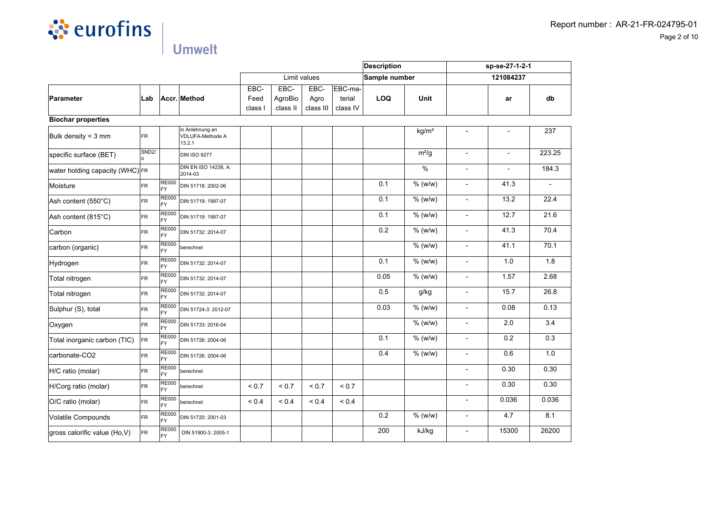

|                                 |                    |                           |                                               |                         |                             |                           |                               | Description   |                            | sp-se-27-1-2-1           |                |        |
|---------------------------------|--------------------|---------------------------|-----------------------------------------------|-------------------------|-----------------------------|---------------------------|-------------------------------|---------------|----------------------------|--------------------------|----------------|--------|
|                                 |                    |                           |                                               |                         |                             | Limit values              |                               | Sample number |                            |                          | 121084237      |        |
| Parameter                       | Lab                |                           | Accr. Method                                  | EBC-<br>Feed<br>class l | EBC-<br>AgroBio<br>class II | EBC-<br>Agro<br>class III | EBC-ma-<br>terial<br>class IV | <b>LOQ</b>    | Unit                       |                          | ar             | db     |
| <b>Biochar properties</b>       |                    |                           |                                               |                         |                             |                           |                               |               |                            |                          |                |        |
| Bulk density < 3 mm             | <b>FR</b>          |                           | in Anlehnung an<br>VDLUFA-Methode A<br>13.2.1 |                         |                             |                           |                               |               | kg/m <sup>3</sup>          | $\overline{\phantom{a}}$ |                | 237    |
| specific surface (BET)          | SND <sub>2</sub> / |                           | <b>DIN ISO 9277</b>                           |                         |                             |                           |                               |               | $m^2/g$                    | $\overline{a}$           | $\blacksquare$ | 223.25 |
| water holding capacity (WHC) FR |                    |                           | DIN EN ISO 14238, A:<br>2014-03               |                         |                             |                           |                               |               | $\frac{0}{0}$              | $\overline{a}$           |                | 184.3  |
| Moisture                        | <b>FR</b>          | <b>RE000</b><br>FY        | DIN 51718: 2002-06                            |                         |                             |                           |                               | 0.1           | $%$ (w/w)                  | $\overline{a}$           | 41.3           |        |
| Ash content (550°C)             | <b>FR</b>          | <b>RE000</b><br><b>FY</b> | DIN 51719: 1997-07                            |                         |                             |                           |                               | 0.1           | $%$ (w/w)                  | $\overline{a}$           | 13.2           | 22.4   |
| Ash content (815°C)             | <b>FR</b>          | <b>RE000</b><br>FY        | DIN 51719: 1997-07                            |                         |                             |                           |                               | 0.1           | $%$ (w/w)                  | $\overline{a}$           | 12.7           | 21.6   |
| Carbon                          | FR                 | <b>RE000</b><br><b>FY</b> | DIN 51732: 2014-07                            |                         |                             |                           |                               | 0.2           | $%$ (w/w)                  | $\overline{a}$           | 41.3           | 70.4   |
| carbon (organic)                | FR                 | <b>RE000</b><br><b>FY</b> | berechnet                                     |                         |                             |                           |                               |               | $%$ (w/w)                  | $\overline{\phantom{a}}$ | 41.1           | 70.1   |
| Hydrogen                        | FR                 | <b>RE000</b><br><b>FY</b> | DIN 51732: 2014-07                            |                         |                             |                           |                               | 0.1           | $%$ (w/w)                  | ÷,                       | $1.0$          | 1.8    |
| Total nitrogen                  | FR                 | <b>RE000</b><br><b>FY</b> | DIN 51732: 2014-07                            |                         |                             |                           |                               | 0.05          | $%$ (w/w)                  | ÷,                       | 1.57           | 2.68   |
| Total nitrogen                  | FR                 | <b>RE000</b><br>FY        | DIN 51732: 2014-07                            |                         |                             |                           |                               | 0.5           | g/kg                       | $\overline{a}$           | 15.7           | 26.8   |
| Sulphur (S), total              | FR                 | <b>RE000</b><br><b>FY</b> | DIN 51724-3: 2012-07                          |                         |                             |                           |                               | 0.03          | % (w/w)                    | $\overline{\phantom{a}}$ | 0.08           | 0.13   |
| Oxygen                          | FR                 | <b>RE000</b><br><b>FY</b> | DIN 51733: 2016-04                            |                         |                             |                           |                               |               | $%$ (w/w)                  | $\overline{\phantom{a}}$ | 2.0            | 3.4    |
| Total inorganic carbon (TIC)    | FR                 | <b>RE000</b><br>FY        | DIN 51726: 2004-06                            |                         |                             |                           |                               | 0.1           | $\sqrt{\frac{9}{6}}$ (w/w) | $\overline{a}$           | 0.2            | 0.3    |
| carbonate-CO2                   | <b>FR</b>          | <b>RE000</b><br>FY        | DIN 51726: 2004-06                            |                         |                             |                           |                               | 0.4           | % (w/w)                    | ÷,                       | 0.6            | 1.0    |
| H/C ratio (molar)               | <b>FR</b>          | <b>RE000</b><br>FY        | berechnet                                     |                         |                             |                           |                               |               |                            | $\overline{a}$           | 0.30           | 0.30   |
| H/Corg ratio (molar)            | <b>FR</b>          | <b>RE000</b><br>FY        | berechnet                                     | ${}_{0.7}$              | ${}_{0.7}$                  | ${}_{0.7}$                | ${}_{0.7}$                    |               |                            | $\overline{a}$           | 0.30           | 0.30   |
| O/C ratio (molar)               | <b>FR</b>          | <b>RE000</b><br>FY        | berechnet                                     | ${}_{0.4}$              | ${}_{0.4}$                  | ${}_{0.4}$                | ${}_{0.4}$                    |               |                            | $\overline{\phantom{a}}$ | 0.036          | 0.036  |
| Volatile Compounds              | <b>FR</b>          | <b>RE000</b><br>FY        | DIN 51720: 2001-03                            |                         |                             |                           |                               | 0.2           | $\sqrt{\frac{9}{6}}$ (w/w) | $\overline{a}$           | 4.7            | 8.1    |
| gross calorific value (Ho,V)    | FR.                | <b>RE000</b><br>FY        | DIN 51900-3: 2005-1                           |                         |                             |                           |                               | 200           | kJ/kg                      | $\overline{a}$           | 15300          | 26200  |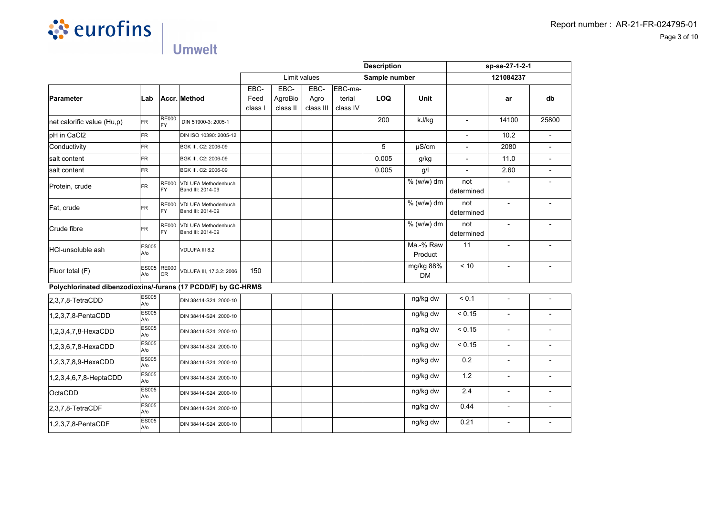

|                                                               |                     |                           |                                                 |                         |                             | <b>Description</b>        |                               | sp-se-27-1-2-1 |                        |                          |                          |                          |
|---------------------------------------------------------------|---------------------|---------------------------|-------------------------------------------------|-------------------------|-----------------------------|---------------------------|-------------------------------|----------------|------------------------|--------------------------|--------------------------|--------------------------|
|                                                               |                     |                           |                                                 |                         |                             | Limit values              |                               | Sample number  |                        |                          | 121084237                |                          |
| Parameter                                                     | Lab                 |                           | Accr. Method                                    | EBC-<br>Feed<br>class I | EBC-<br>AgroBio<br>class II | EBC-<br>Agro<br>class III | EBC-ma-<br>terial<br>class IV | <b>LOQ</b>     | <b>Unit</b>            |                          | ar                       | db                       |
| net calorific value (Hu,p)                                    | FR.                 | <b>RE000</b><br><b>FY</b> | DIN 51900-3: 2005-1                             |                         |                             |                           |                               | 200            | kJ/kg                  | $\overline{\phantom{a}}$ | 14100                    | 25800                    |
| pH in CaCl2                                                   | <b>FR</b>           |                           | DIN ISO 10390: 2005-12                          |                         |                             |                           |                               |                |                        | $\blacksquare$           | 10.2                     |                          |
| Conductivity                                                  | <b>FR</b>           |                           | BGK III. C2: 2006-09                            |                         |                             |                           |                               | 5              | µS/cm                  |                          | 2080                     |                          |
| salt content                                                  | <b>FR</b>           |                           | BGK III. C2: 2006-09                            |                         |                             |                           |                               | 0.005          | g/kg                   | $\overline{\phantom{a}}$ | 11.0                     |                          |
| salt content                                                  | <b>FR</b>           |                           | BGK III. C2: 2006-09                            |                         |                             |                           |                               | 0.005          | g/                     | $\blacksquare$           | 2.60                     | $\overline{a}$           |
| Protein, crude                                                | FR.                 | <b>RE000</b><br>FY        | <b>VDLUFA Methodenbuch</b><br>Band III: 2014-09 |                         |                             |                           |                               |                | % (w/w) dm             | not<br>determined        |                          |                          |
| Fat, crude                                                    | FR.                 | <b>RE000</b><br>FY        | VDLUFA Methodenbuch<br>Band III: 2014-09        |                         |                             |                           |                               |                | % (w/w) dm             | not<br>determined        |                          |                          |
| Crude fibre                                                   | FR.                 | <b>RE000</b><br><b>FY</b> | <b>VDLUFA Methodenbuch</b><br>Band III: 2014-09 |                         |                             |                           |                               |                | % (w/w) dm             | not<br>determined        | $\overline{\phantom{a}}$ |                          |
| <b>HCI-unsoluble ash</b>                                      | ES005<br>A/o        |                           | VDLUFA III 8.2                                  |                         |                             |                           |                               |                | Ma.-% Raw<br>Product   | 11                       | $\overline{\phantom{m}}$ |                          |
| Fluor total (F)                                               | <b>ES005</b><br>A/o | <b>RE000</b><br>lcr       | VDLUFA III, 17.3.2: 2006                        | 150                     |                             |                           |                               |                | mg/kg 88%<br><b>DM</b> | < 10                     |                          |                          |
| Polychlorinated dibenzodioxins/-furans (17 PCDD/F) by GC-HRMS |                     |                           |                                                 |                         |                             |                           |                               |                |                        |                          |                          |                          |
| $2,3,7,8$ -TetraCDD                                           | <b>ES005</b><br>A/o |                           | DIN 38414-S24: 2000-10                          |                         |                             |                           |                               |                | ng/kg dw               | < 0.1                    | $\blacksquare$           |                          |
| 1,2,3,7,8-PentaCDD                                            | <b>ES005</b><br>A/o |                           | DIN 38414-S24: 2000-10                          |                         |                             |                           |                               |                | ng/kg dw               | < 0.15                   |                          |                          |
| 1,2,3,4,7,8-HexaCDD                                           | ES005<br>A/o        |                           | DIN 38414-S24: 2000-10                          |                         |                             |                           |                               |                | ng/kg dw               | < 0.15                   | $\blacksquare$           | $\overline{\phantom{0}}$ |
| 1,2,3,6,7,8-HexaCDD                                           | <b>ES005</b><br>A/o |                           | DIN 38414-S24: 2000-10                          |                         |                             |                           |                               |                | ng/kg dw               | < 0.15                   |                          | $\overline{\phantom{0}}$ |
| 1,2,3,7,8,9-HexaCDD                                           | <b>ES005</b><br>A/o |                           | DIN 38414-S24: 2000-10                          |                         |                             |                           |                               |                | ng/kg dw               | 0.2                      |                          |                          |
| 1,2,3,4,6,7,8-HeptaCDD                                        | <b>ES005</b><br>A/o |                           | DIN 38414-S24: 2000-10                          |                         |                             |                           |                               |                | ng/kg dw               | 1.2                      |                          |                          |
| OctaCDD                                                       | ES005<br>A/o        |                           | DIN 38414-S24: 2000-10                          |                         |                             |                           |                               |                | ng/kg dw               | 2.4                      |                          |                          |
| $ 2,3,7,8$ -TetraCDF                                          | ES005<br>A/o        |                           | DIN 38414-S24: 2000-10                          |                         |                             |                           |                               |                | ng/kg dw               | 0.44                     |                          | L,                       |
| 1,2,3,7,8-PentaCDF                                            | ES005<br>A/o        |                           | DIN 38414-S24: 2000-10                          |                         |                             |                           |                               |                | ng/kg dw               | 0.21                     | $\blacksquare$           | $\blacksquare$           |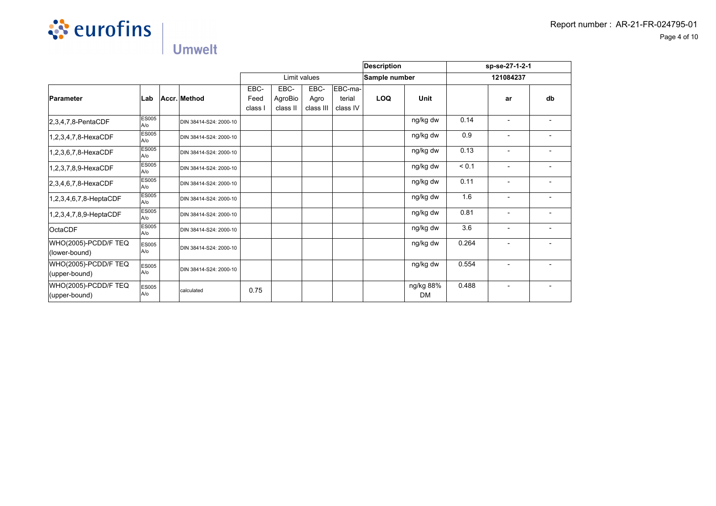

|                                       |                        |                        |                         |                             |                           |                               | <b>Description</b> |                        | sp-se-27-1-2-1 |                          |    |  |
|---------------------------------------|------------------------|------------------------|-------------------------|-----------------------------|---------------------------|-------------------------------|--------------------|------------------------|----------------|--------------------------|----|--|
|                                       |                        |                        |                         |                             | Limit values              |                               | Sample number      |                        | 121084237      |                          |    |  |
| Parameter                             | Lab                    | Accr. Method           | EBC-<br>Feed<br>class I | EBC-<br>AgroBio<br>class II | EBC-<br>Agro<br>class III | EBC-ma-<br>terial<br>class IV | LOQ                | <b>Unit</b>            |                | ar                       | db |  |
| $ 2,3,4,7,8$ -PentaCDF                | <b>ES005</b><br>$A$ /o | DIN 38414-S24: 2000-10 |                         |                             |                           |                               |                    | ng/kg dw               | 0.14           | $\blacksquare$           |    |  |
| 1,2,3,4,7,8-HexaCDF                   | <b>ES005</b><br>$A$ /o | DIN 38414-S24: 2000-10 |                         |                             |                           |                               |                    | ng/kg dw               | 0.9            | $\overline{\phantom{a}}$ |    |  |
| 1,2,3,6,7,8-HexaCDF                   | ES005<br>A/o           | DIN 38414-S24: 2000-10 |                         |                             |                           |                               |                    | ng/kg dw               | 0.13           |                          |    |  |
| 1,2,3,7,8,9-HexaCDF                   | <b>ES005</b><br>A/o    | DIN 38414-S24: 2000-10 |                         |                             |                           |                               |                    | ng/kg dw               | < 0.1          | $\blacksquare$           |    |  |
| $ 2,3,4,6,7,8$ -HexaCDF               | <b>ES005</b><br>$A$ /o | DIN 38414-S24: 2000-10 |                         |                             |                           |                               |                    | ng/kg dw               | 0.11           | $\blacksquare$           |    |  |
| $1,2,3,4,6,7,8$ -HeptaCDF             | <b>ES005</b><br>A/o    | DIN 38414-S24: 2000-10 |                         |                             |                           |                               |                    | ng/kg dw               | 1.6            | $\overline{\phantom{a}}$ |    |  |
| 1,2,3,4,7,8,9-HeptaCDF                | <b>ES005</b><br>A/o    | DIN 38414-S24: 2000-10 |                         |                             |                           |                               |                    | ng/kg dw               | 0.81           | $\blacksquare$           |    |  |
| <b>OctaCDF</b>                        | <b>ES005</b><br>A/o    | DIN 38414-S24: 2000-10 |                         |                             |                           |                               |                    | ng/kg dw               | 3.6            |                          |    |  |
| WHO(2005)-PCDD/F TEQ<br>(lower-bound) | ES005<br>A/o           | DIN 38414-S24: 2000-10 |                         |                             |                           |                               |                    | ng/kg dw               | 0.264          | $\blacksquare$           |    |  |
| WHO(2005)-PCDD/F TEQ<br>(upper-bound) | ES005<br>A/o           | DIN 38414-S24: 2000-10 |                         |                             |                           |                               |                    | ng/kg dw               | 0.554          |                          |    |  |
| WHO(2005)-PCDD/F TEQ<br>(upper-bound) | <b>ES005</b><br>A/o    | calculated             | 0.75                    |                             |                           |                               |                    | ng/kg 88%<br><b>DM</b> | 0.488          |                          |    |  |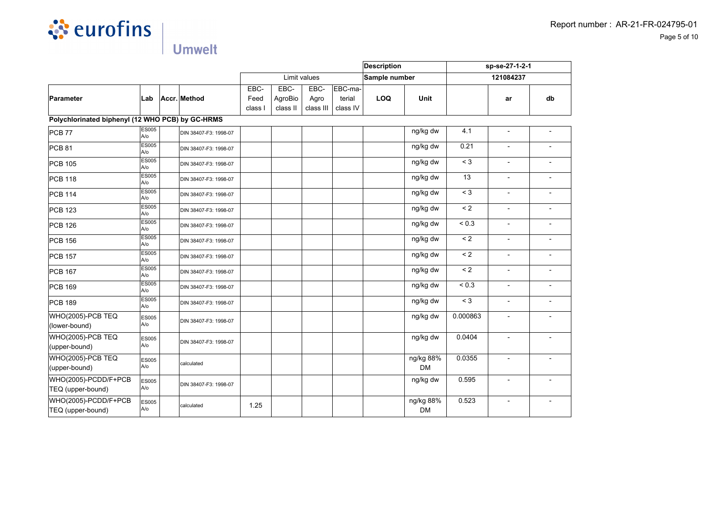

|                                                  |                     |                       |                         |                             |                           |                               | <b>Description</b> |                        | sp-se-27-1-2-1 |                          |                          |
|--------------------------------------------------|---------------------|-----------------------|-------------------------|-----------------------------|---------------------------|-------------------------------|--------------------|------------------------|----------------|--------------------------|--------------------------|
|                                                  |                     |                       |                         |                             | Limit values              |                               | Sample number      |                        |                | 121084237                |                          |
| Parameter                                        | Lab                 | Accr. Method          | EBC-<br>Feed<br>class I | EBC-<br>AgroBio<br>class II | EBC-<br>Agro<br>class III | EBC-ma-<br>terial<br>class IV | <b>LOQ</b>         | Unit                   |                | ar                       | db                       |
| Polychlorinated biphenyl (12 WHO PCB) by GC-HRMS |                     |                       |                         |                             |                           |                               |                    |                        |                |                          |                          |
| <b>PCB 77</b>                                    | ES005<br>A/o        | DIN 38407-F3: 1998-07 |                         |                             |                           |                               |                    | ng/kg dw               | 4.1            | $\overline{\phantom{a}}$ | $\overline{\phantom{a}}$ |
| <b>PCB 81</b>                                    | <b>ES005</b><br>A/o | DIN 38407-F3: 1998-07 |                         |                             |                           |                               |                    | ng/kg dw               | 0.21           | $\blacksquare$           |                          |
| <b>PCB 105</b>                                   | <b>ES005</b><br>A/o | DIN 38407-F3: 1998-07 |                         |                             |                           |                               |                    | ng/kg dw               | $<$ 3          |                          |                          |
| <b>PCB 118</b>                                   | <b>ES005</b><br>A/o | DIN 38407-F3: 1998-07 |                         |                             |                           |                               |                    | ng/kg dw               | 13             | $\overline{a}$           | $\overline{\phantom{a}}$ |
| PCB 114                                          | ES005<br>A/o        | DIN 38407-F3: 1998-07 |                         |                             |                           |                               |                    | ng/kg dw               | $\leq 3$       | $\overline{\phantom{a}}$ |                          |
| <b>PCB 123</b>                                   | <b>ES005</b><br>A/o | DIN 38407-F3: 1998-07 |                         |                             |                           |                               |                    | ng/kg dw               | $\leq 2$       | $\blacksquare$           | $\overline{\phantom{a}}$ |
| <b>PCB 126</b>                                   | <b>ES005</b><br>A/o | DIN 38407-F3: 1998-07 |                         |                             |                           |                               |                    | ng/kg dw               | ${}_{0.3}$     |                          |                          |
| PCB 156                                          | <b>ES005</b><br>A/o | DIN 38407-F3: 1998-07 |                         |                             |                           |                               |                    | ng/kg dw               | $\leq 2$       | L,                       |                          |
| <b>PCB 157</b>                                   | ES005<br>A/o        | DIN 38407-F3: 1998-07 |                         |                             |                           |                               |                    | ng/kg dw               | $\leq 2$       | $\overline{\phantom{a}}$ | $\overline{\phantom{a}}$ |
| <b>PCB 167</b>                                   | <b>ES005</b><br>A/o | DIN 38407-F3: 1998-07 |                         |                             |                           |                               |                    | ng/kg dw               | $\leq$ 2       | $\blacksquare$           | $\overline{\phantom{a}}$ |
| PCB 169                                          | <b>ES005</b><br>A/o | DIN 38407-F3: 1998-07 |                         |                             |                           |                               |                    | ng/kg dw               | ${}_{0.3}$     |                          |                          |
| <b>PCB 189</b>                                   | <b>ES005</b><br>A/o | DIN 38407-F3: 1998-07 |                         |                             |                           |                               |                    | ng/kg dw               | $<$ 3          | $\overline{a}$           | $\overline{\phantom{a}}$ |
| WHO(2005)-PCB TEQ<br>(lower-bound)               | <b>ES005</b><br>A/o | DIN 38407-F3: 1998-07 |                         |                             |                           |                               |                    | ng/kg dw               | 0.000863       | $\overline{\phantom{a}}$ | $\overline{\phantom{a}}$ |
| WHO(2005)-PCB TEQ<br>(upper-bound)               | ES005<br>A/o        | DIN 38407-F3: 1998-07 |                         |                             |                           |                               |                    | ng/kg dw               | 0.0404         |                          |                          |
| <b>WHO(2005)-PCB TEQ</b><br>(upper-bound)        | ES005<br>A/o        | calculated            |                         |                             |                           |                               |                    | ng/kg 88%<br><b>DM</b> | 0.0355         | $\overline{\phantom{a}}$ | $\overline{\phantom{a}}$ |
| WHO(2005)-PCDD/F+PCB<br>TEQ (upper-bound)        | <b>ES005</b><br>A/o | DIN 38407-F3: 1998-07 |                         |                             |                           |                               |                    | ng/kg dw               | 0.595          | $\overline{a}$           |                          |
| WHO(2005)-PCDD/F+PCB<br>TEQ (upper-bound)        | <b>ES005</b><br>A/o | calculated            | 1.25                    |                             |                           |                               |                    | ng/kg 88%<br><b>DM</b> | 0.523          | $\overline{\phantom{a}}$ |                          |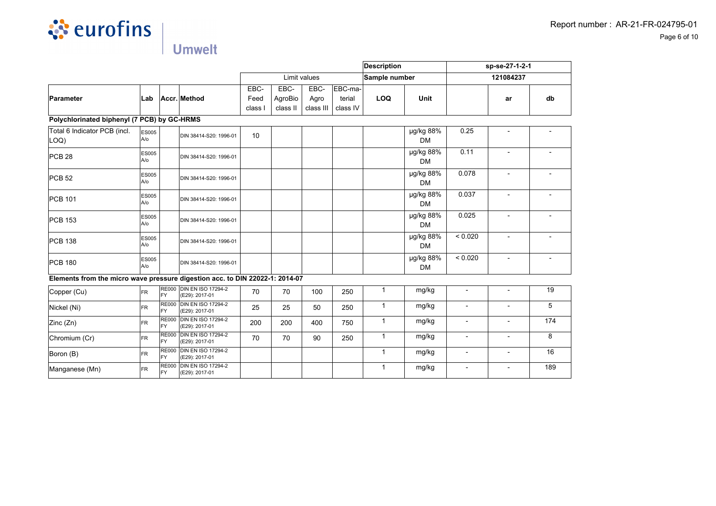

|                                                                              |                     |                            |                                             |         |          |              | Description |               | sp-se-27-1-2-1         |                          |                          |     |
|------------------------------------------------------------------------------|---------------------|----------------------------|---------------------------------------------|---------|----------|--------------|-------------|---------------|------------------------|--------------------------|--------------------------|-----|
|                                                                              |                     |                            |                                             |         |          | Limit values |             | Sample number |                        |                          | 121084237                |     |
|                                                                              |                     |                            |                                             | EBC-    | EBC-     | EBC-         | EBC-ma-     |               |                        |                          |                          |     |
| Parameter                                                                    | ∣Lab                |                            | Accr. Method                                | Feed    | AgroBio  | Agro         | terial      | <b>LOQ</b>    | <b>Unit</b>            |                          | ar                       | db  |
|                                                                              |                     |                            |                                             | class I | class II | class III    | class IV    |               |                        |                          |                          |     |
| Polychlorinated biphenyl (7 PCB) by GC-HRMS                                  |                     |                            |                                             |         |          |              |             |               |                        |                          |                          |     |
| Total 6 Indicator PCB (incl.<br>LOQ)                                         | ES005<br>A/o        |                            | DIN 38414-S20: 1996-01                      | 10      |          |              |             |               | µg/kg 88%<br><b>DM</b> | 0.25                     |                          |     |
| PCB28                                                                        | <b>ES005</b><br>A/o |                            | DIN 38414-S20: 1996-01                      |         |          |              |             |               | µg/kg 88%<br><b>DM</b> | 0.11                     |                          |     |
| PCB <sub>52</sub>                                                            | <b>ES005</b><br>A/o |                            | DIN 38414-S20: 1996-01                      |         |          |              |             |               | µg/kg 88%<br><b>DM</b> | 0.078                    |                          |     |
| PCB 101                                                                      | <b>ES005</b><br>A/o |                            | DIN 38414-S20: 1996-01                      |         |          |              |             |               | µg/kg 88%<br><b>DM</b> | 0.037                    |                          |     |
| PCB 153                                                                      | <b>ES005</b><br>A/o |                            | DIN 38414-S20: 1996-01                      |         |          |              |             |               | µg/kg 88%<br><b>DM</b> | 0.025                    |                          |     |
| <b>PCB 138</b>                                                               | <b>ES005</b><br>A/o |                            | DIN 38414-S20: 1996-01                      |         |          |              |             |               | µg/kg 88%<br><b>DM</b> | < 0.020                  | $\overline{a}$           |     |
| <b>PCB 180</b>                                                               | <b>ES005</b><br>A/o |                            | DIN 38414-S20: 1996-01                      |         |          |              |             |               | µg/kg 88%<br><b>DM</b> | < 0.020                  | $\blacksquare$           |     |
| Elements from the micro wave pressure digestion acc. to DIN 22022-1: 2014-07 |                     |                            |                                             |         |          |              |             |               |                        |                          |                          |     |
| Copper (Cu)                                                                  | <b>FR</b>           | FY                         | RE000 DIN EN ISO 17294-2<br>(E29): 2017-01  | 70      | 70       | 100          | 250         | $\mathbf{1}$  | mg/kg                  | $\overline{\phantom{a}}$ | $\overline{\phantom{a}}$ | 19  |
| Nickel (Ni)                                                                  | <b>FR</b>           | <b>RE000</b><br><b>FY</b>  | <b>DIN EN ISO 17294-2</b><br>(E29): 2017-01 | 25      | 25       | 50           | 250         | $\mathbf{1}$  | mg/kg                  | L,                       |                          | 5   |
| Zinc (Zn)                                                                    | <b>FR</b>           | <b>RE000</b><br>FY         | <b>DIN EN ISO 17294-2</b><br>(E29): 2017-01 | 200     | 200      | 400          | 750         | $\mathbf{1}$  | mg/kg                  | $\blacksquare$           | $\overline{a}$           | 174 |
| Chromium (Cr)                                                                | <b>FR</b>           | <b>RE000</b><br>FY         | <b>DIN EN ISO 17294-2</b><br>(E29): 2017-01 | 70      | 70       | 90           | 250         | $\mathbf{1}$  | mg/kg                  | $\overline{\phantom{a}}$ | $\overline{\phantom{a}}$ | 8   |
| Boron (B)                                                                    | <b>FR</b>           | <b>RE000</b><br><b>IFY</b> | <b>DIN EN ISO 17294-2</b><br>(E29): 2017-01 |         |          |              |             | $\mathbf{1}$  | mg/kg                  | $\overline{\phantom{a}}$ |                          | 16  |
| Manganese (Mn)                                                               | <b>FR</b>           | <b>RE000</b><br><b>FY</b>  | <b>DIN EN ISO 17294-2</b><br>(E29): 2017-01 |         |          |              |             | $\mathbf{1}$  | mg/kg                  | ÷,                       | $\overline{\phantom{a}}$ | 189 |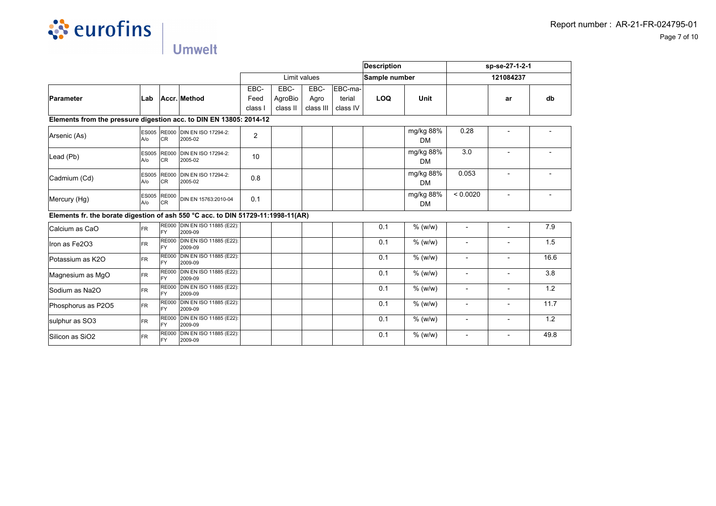

|                                                                                  |                           |                                 |                                            |       |          |              | Description |               | sp-se-27-1-2-1         |                          |                          |      |
|----------------------------------------------------------------------------------|---------------------------|---------------------------------|--------------------------------------------|-------|----------|--------------|-------------|---------------|------------------------|--------------------------|--------------------------|------|
|                                                                                  |                           |                                 |                                            |       |          | Limit values |             | Sample number |                        |                          | 121084237                |      |
|                                                                                  |                           |                                 |                                            | EBC-  | EBC-     | EBC-         | EBC-ma-     |               |                        |                          |                          |      |
| <b>Parameter</b>                                                                 | Lab                       |                                 | Accr. Method                               | Feed  | AgroBio  | Agro         | terial      | <b>LOQ</b>    | Unit                   |                          | ar                       | db   |
|                                                                                  |                           |                                 |                                            | class | class II | class III    | class IV    |               |                        |                          |                          |      |
| Elements from the pressure digestion acc. to DIN EN 13805: 2014-12               |                           |                                 |                                            |       |          |              |             |               |                        |                          |                          |      |
| Arsenic (As)                                                                     | $A$ / $O$                 | <b>CR</b>                       | ES005 RE000 DIN EN ISO 17294-2:<br>2005-02 | 2     |          |              |             |               | mg/kg 88%<br><b>DM</b> | 0.28                     |                          |      |
| Lead (Pb)                                                                        | A/o                       | <b>ES005 RE000</b><br><b>CR</b> | DIN EN ISO 17294-2:<br>2005-02             | 10    |          |              |             |               | mg/kg 88%<br><b>DM</b> | 3.0                      |                          |      |
| Cadmium (Cd)                                                                     | <b>ES005</b><br>$A$ / $O$ | <b>RE000</b><br><b>CR</b>       | <b>DIN EN ISO 17294-2:</b><br>2005-02      | 0.8   |          |              |             |               | mg/kg 88%<br><b>DM</b> | 0.053                    |                          |      |
| Mercury (Hg)                                                                     | A/O                       | ES005 RE000<br><b>CR</b>        | DIN EN 15763:2010-04                       | 0.1   |          |              |             |               | mg/kg 88%<br>DM        | < 0.0020                 | $\blacksquare$           |      |
| Elements fr. the borate digestion of ash 550 °C acc. to DIN 51729-11:1998-11(AR) |                           |                                 |                                            |       |          |              |             |               |                        |                          |                          |      |
| Calcium as CaO                                                                   | <b>FR</b>                 | FY                              | RE000 DIN EN ISO 11885 (E22):<br>2009-09   |       |          |              |             | 0.1           | % (w/w)                |                          |                          | 7.9  |
| Iron as Fe2O3                                                                    | <b>FR</b>                 | <b>RE000</b><br>FY              | <b>DIN EN ISO 11885 (E22):</b><br>2009-09  |       |          |              |             | 0.1           | $%$ (w/w)              |                          |                          | 1.5  |
| Potassium as K2O                                                                 | <b>FR</b>                 | <b>RE000</b><br>FY              | DIN EN ISO 11885 (E22):<br>2009-09         |       |          |              |             | 0.1           | $%$ (w/w)              |                          |                          | 16.6 |
| Magnesium as MgO                                                                 | <b>FR</b>                 | <b>RE000</b><br>FY              | <b>DIN EN ISO 11885 (E22):</b><br>2009-09  |       |          |              |             | 0.1           | $%$ (w/w)              |                          |                          | 3.8  |
| Sodium as Na2O                                                                   | <b>FR</b>                 | FY                              | RE000 DIN EN ISO 11885 (E22):<br>2009-09   |       |          |              |             | 0.1           | $%$ (w/w)              | $\overline{a}$           |                          | 1.2  |
| Phosphorus as P2O5                                                               | <b>FR</b>                 | FY                              | RE000 DIN EN ISO 11885 (E22):<br>2009-09   |       |          |              |             | 0.1           | $%$ (w/w)              | $\overline{a}$           | $\overline{\phantom{a}}$ | 11.7 |
| sulphur as SO3                                                                   | <b>FR</b>                 | FY                              | RE000 DIN EN ISO 11885 (E22):<br>2009-09   |       |          |              |             | 0.1           | $%$ (w/w)              | $\overline{\phantom{a}}$ | $\overline{\phantom{a}}$ | 1.2  |
| Silicon as SiO <sub>2</sub>                                                      | <b>FR</b>                 | <b>RE000</b><br>FY              | DIN EN ISO 11885 (E22):<br>2009-09         |       |          |              |             | 0.1           | $%$ (w/w)              | $\overline{\phantom{a}}$ | $\overline{\phantom{a}}$ | 49.8 |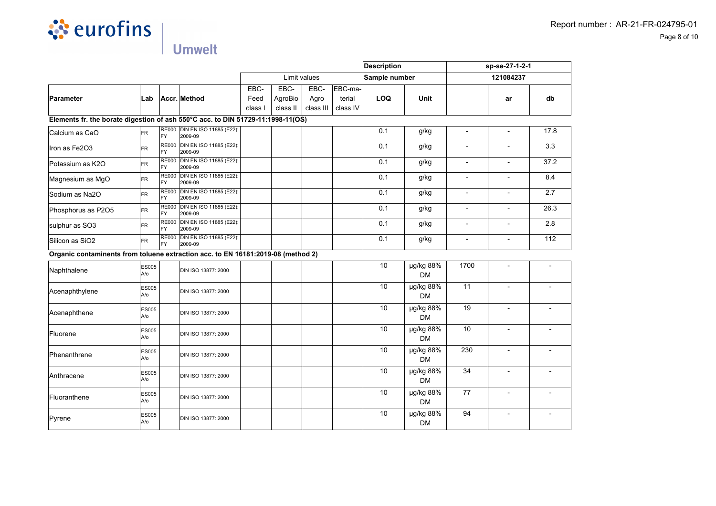

|                                                                                  |                     |                           |                                          |                         |                             |                           | <b>Description</b>            |               |                        | sp-se-27-1-2-1           |                          |                  |
|----------------------------------------------------------------------------------|---------------------|---------------------------|------------------------------------------|-------------------------|-----------------------------|---------------------------|-------------------------------|---------------|------------------------|--------------------------|--------------------------|------------------|
|                                                                                  |                     |                           |                                          |                         |                             | Limit values              |                               | Sample number |                        | 121084237                |                          |                  |
| Parameter                                                                        | Lab                 |                           | Accr. Method                             | EBC-<br>Feed<br>class I | EBC-<br>AgroBio<br>class II | EBC-<br>Agro<br>class III | EBC-ma-<br>terial<br>class IV | LOQ           | Unit                   |                          | ar                       | d <b>b</b>       |
| Elements fr. the borate digestion of ash 550°C acc. to DIN 51729-11:1998-11(OS)  |                     |                           |                                          |                         |                             |                           |                               |               |                        |                          |                          |                  |
| Calcium as CaO                                                                   | <b>FR</b>           | FY                        | RE000 DIN EN ISO 11885 (E22):<br>2009-09 |                         |                             |                           |                               | 0.1           | g/kg                   |                          |                          | 17.8             |
| Iron as Fe2O3                                                                    | <b>FR</b>           | <b>RE000</b><br><b>FY</b> | DIN EN ISO 11885 (E22):<br>2009-09       |                         |                             |                           |                               | 0.1           | g/kg                   |                          |                          | 3.3              |
| Potassium as K2O                                                                 | <b>FR</b>           | <b>RE000</b><br>FY        | DIN EN ISO 11885 (E22):<br>2009-09       |                         |                             |                           |                               | 0.1           | g/kg                   | $\blacksquare$           |                          | 37.2             |
| Magnesium as MgO                                                                 | FR                  | <b>RE000</b><br>FY        | DIN EN ISO 11885 (E22):<br>2009-09       |                         |                             |                           |                               | 0.1           | g/kg                   | $\overline{\phantom{a}}$ | $\blacksquare$           | 8.4              |
| Sodium as Na2O                                                                   | FR                  | <b>RE000</b><br>FY        | DIN EN ISO 11885 (E22):<br>2009-09       |                         |                             |                           |                               | 0.1           | g/kg                   | $\overline{\phantom{a}}$ | $\overline{a}$           | 2.7              |
| Phosphorus as P2O5                                                               | <b>FR</b>           | <b>RE000</b><br><b>FY</b> | DIN EN ISO 11885 (E22):<br>2009-09       |                         |                             |                           |                               | 0.1           | g/kg                   | $\overline{\phantom{a}}$ | $\blacksquare$           | 26.3             |
| sulphur as SO3                                                                   | FR                  | <b>RE000</b><br><b>FY</b> | DIN EN ISO 11885 (E22):<br>2009-09       |                         |                             |                           |                               | 0.1           | g/kg                   | $\overline{\phantom{0}}$ | $\overline{a}$           | 2.8              |
| Silicon as SiO2                                                                  | FR.                 | <b>RE000</b><br>FY        | DIN EN ISO 11885 (E22):<br>2009-09       |                         |                             |                           |                               | 0.1           | g/kg                   | $\blacksquare$           |                          | $\overline{112}$ |
| Organic contaminents from toluene extraction acc. to EN 16181:2019-08 (method 2) |                     |                           |                                          |                         |                             |                           |                               |               |                        |                          |                          |                  |
| Naphthalene                                                                      | <b>ES005</b><br>A/o |                           | DIN ISO 13877: 2000                      |                         |                             |                           |                               | 10            | µg/kg 88%<br><b>DM</b> | 1700                     | $\overline{a}$           |                  |
| Acenaphthylene                                                                   | ES005<br>A/o        |                           | DIN ISO 13877: 2000                      |                         |                             |                           |                               | 10            | µg/kg 88%<br><b>DM</b> | 11                       | $\blacksquare$           |                  |
| Acenaphthene                                                                     | ES005<br>A/o        |                           | DIN ISO 13877: 2000                      |                         |                             |                           |                               | 10            | µg/kg 88%<br><b>DM</b> | 19                       |                          |                  |
| Fluorene                                                                         | <b>ES005</b><br>A/o |                           | DIN ISO 13877: 2000                      |                         |                             |                           |                               | 10            | µg/kg 88%<br><b>DM</b> | 10                       | $\blacksquare$           |                  |
| Phenanthrene                                                                     | <b>ES005</b><br>A/o |                           | DIN ISO 13877: 2000                      |                         |                             |                           |                               | 10            | µg/kg 88%<br><b>DM</b> | 230                      | $\blacksquare$           |                  |
| Anthracene                                                                       | <b>ES005</b><br>A/o |                           | DIN ISO 13877: 2000                      |                         |                             |                           |                               | 10            | µg/kg 88%<br><b>DM</b> | 34                       |                          |                  |
| Fluoranthene                                                                     | ES005<br>A/o        |                           | DIN ISO 13877: 2000                      |                         |                             |                           |                               | 10            | µg/kg 88%<br><b>DM</b> | 77                       |                          |                  |
| Pyrene                                                                           | <b>ES005</b><br>A/o |                           | DIN ISO 13877: 2000                      |                         |                             |                           |                               | 10            | µg/kg 88%<br><b>DM</b> | 94                       | $\overline{\phantom{a}}$ |                  |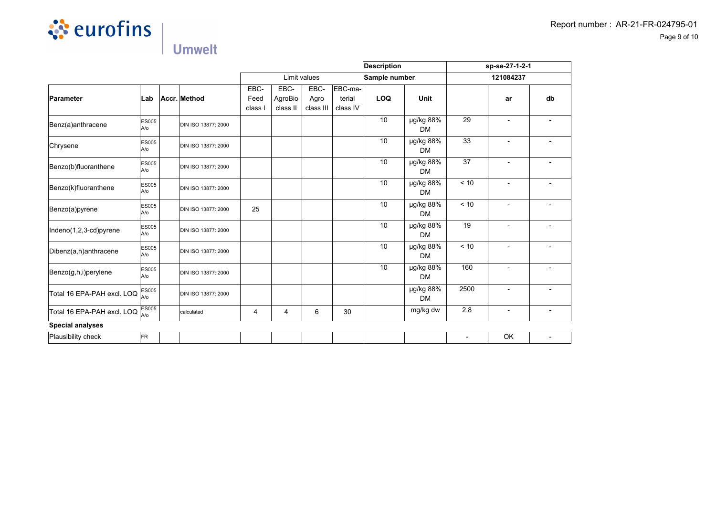

|                            |                      |                     |                         |                             | <b>Description</b>        |                               | sp-se-27-1-2-1  |                        |                |                          |                          |
|----------------------------|----------------------|---------------------|-------------------------|-----------------------------|---------------------------|-------------------------------|-----------------|------------------------|----------------|--------------------------|--------------------------|
|                            |                      |                     |                         |                             | Limit values              |                               | Sample number   |                        |                | 121084237                |                          |
| Parameter                  | Lab                  | Accr. Method        | EBC-<br>Feed<br>class I | EBC-<br>AgroBio<br>class II | EBC-<br>Agro<br>class III | EBC-ma-<br>terial<br>class IV | <b>LOQ</b>      | Unit                   |                | ar                       | db                       |
| Benz(a)anthracene          | <b>ES005</b><br>A/o  | DIN ISO 13877: 2000 |                         |                             |                           |                               | 10              | µg/kg 88%<br><b>DM</b> | 29             | $\blacksquare$           |                          |
| Chrysene                   | <b>ES005</b><br>A/o  | DIN ISO 13877: 2000 |                         |                             |                           |                               | 10              | µg/kg 88%<br><b>DM</b> | 33             | $\overline{\phantom{a}}$ |                          |
| Benzo(b)fluoranthene       | <b>ES005</b><br>A/o  | DIN ISO 13877: 2000 |                         |                             |                           |                               | 10              | µg/kg 88%<br><b>DM</b> | 37             |                          |                          |
| Benzo(k)fluoranthene       | <b>ES005</b><br>lA/o | DIN ISO 13877: 2000 |                         |                             |                           |                               | 10              | µg/kg 88%<br><b>DM</b> | < 10           | $\blacksquare$           |                          |
| Benzo(a)pyrene             | <b>ES005</b><br>A/o  | DIN ISO 13877: 2000 | 25                      |                             |                           |                               | 10              | µg/kg 88%<br><b>DM</b> | < 10           |                          |                          |
| Indeno(1,2,3-cd)pyrene     | <b>ES005</b><br>lA/o | DIN ISO 13877: 2000 |                         |                             |                           |                               | 10 <sup>1</sup> | µg/kg 88%<br><b>DM</b> | 19             | $\blacksquare$           |                          |
| Dibenz(a,h)anthracene      | <b>ES005</b><br>A/o  | DIN ISO 13877: 2000 |                         |                             |                           |                               | 10              | µg/kg 88%<br><b>DM</b> | < 10           |                          |                          |
| Benzo(g,h,i)perylene       | <b>ES005</b><br>A/o  | DIN ISO 13877: 2000 |                         |                             |                           |                               | 10              | µg/kg 88%<br><b>DM</b> | 160            | $\overline{\phantom{a}}$ |                          |
| Total 16 EPA-PAH excl. LOQ | ES005<br>la/o        | DIN ISO 13877: 2000 |                         |                             |                           |                               |                 | µg/kg 88%<br><b>DM</b> | 2500           | $\overline{\phantom{0}}$ |                          |
| Total 16 EPA-PAH excl. LOQ | <b>ES005</b><br>lA/o | calculated          | 4                       | 4                           | 6                         | 30                            |                 | mg/kg dw               | 2.8            | $\overline{\phantom{a}}$ | $\overline{\phantom{a}}$ |
| <b>Special analyses</b>    |                      |                     |                         |                             |                           |                               |                 |                        |                |                          |                          |
| Plausibility check         | FR                   |                     |                         |                             |                           |                               |                 |                        | $\blacksquare$ | OK                       | $\overline{\phantom{a}}$ |